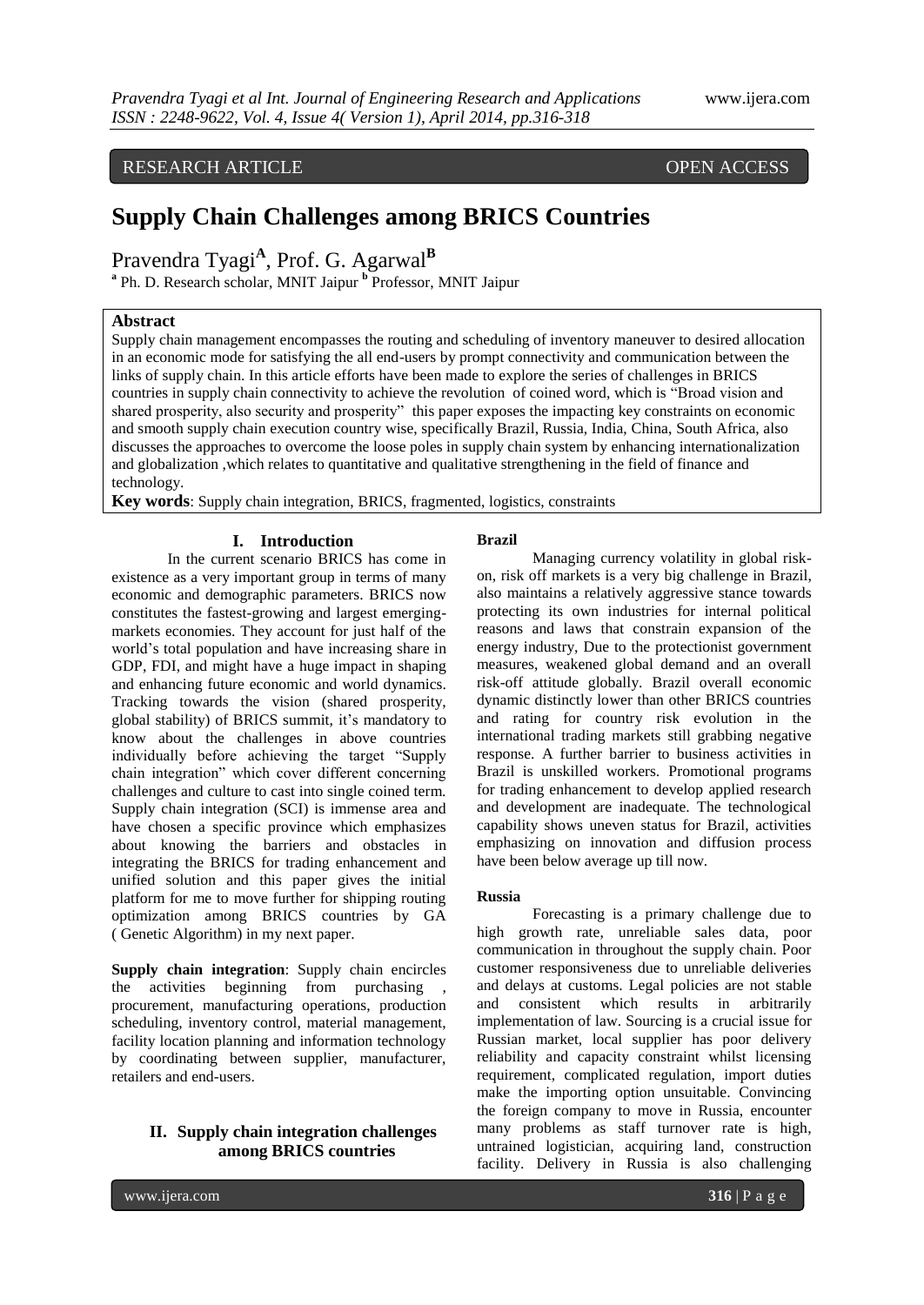# RESEARCH ARTICLE OPEN ACCESS

# **Supply Chain Challenges among BRICS Countries**

Pravendra Tyagi<sup>A</sup>, Prof. G. Agarwal<sup>B</sup>

**a** Ph. D. Research scholar, MNIT Jaipur **<sup>b</sup>** Professor, MNIT Jaipur

#### **Abstract**

Supply chain management encompasses the routing and scheduling of inventory maneuver to desired allocation in an economic mode for satisfying the all end-users by prompt connectivity and communication between the links of supply chain. In this article efforts have been made to explore the series of challenges in BRICS countries in supply chain connectivity to achieve the revolution of coined word, which is "Broad vision and shared prosperity, also security and prosperity" this paper exposes the impacting key constraints on economic and smooth supply chain execution country wise, specifically Brazil, Russia, India, China, South Africa, also discusses the approaches to overcome the loose poles in supply chain system by enhancing internationalization and globalization ,which relates to quantitative and qualitative strengthening in the field of finance and technology.

**Key words**: Supply chain integration, BRICS, fragmented, logistics, constraints

#### **I. Introduction**

In the current scenario BRICS has come in existence as a very important group in terms of many economic and demographic parameters. BRICS now constitutes the fastest-growing and largest emergingmarkets economies. They account for just half of the world's total population and have increasing share in GDP, FDI, and might have a huge impact in shaping and enhancing future economic and world dynamics. Tracking towards the vision (shared prosperity, global stability) of BRICS summit, it's mandatory to know about the challenges in above countries individually before achieving the target "Supply chain integration" which cover different concerning challenges and culture to cast into single coined term. Supply chain integration (SCI) is immense area and have chosen a specific province which emphasizes about knowing the barriers and obstacles in integrating the BRICS for trading enhancement and unified solution and this paper gives the initial platform for me to move further for shipping routing optimization among BRICS countries by GA ( Genetic Algorithm) in my next paper.

**Supply chain integration**: Supply chain encircles the activities beginning from purchasing , procurement, manufacturing operations, production scheduling, inventory control, material management, facility location planning and information technology by coordinating between supplier, manufacturer, retailers and end-users.

# **II. Supply chain integration challenges among BRICS countries**

### **Brazil**

Managing currency volatility in global riskon, risk off markets is a very big challenge in Brazil, also maintains a relatively aggressive stance towards protecting its own industries for internal political reasons and laws that constrain expansion of the energy industry, Due to the protectionist government measures, weakened global demand and an overall risk-off attitude globally. Brazil overall economic dynamic distinctly lower than other BRICS countries and rating for country risk evolution in the international trading markets still grabbing negative response. A further barrier to business activities in Brazil is unskilled workers. Promotional programs for trading enhancement to develop applied research and development are inadequate. The technological capability shows uneven status for Brazil, activities emphasizing on innovation and diffusion process have been below average up till now.

#### **Russia**

Forecasting is a primary challenge due to high growth rate, unreliable sales data, poor communication in throughout the supply chain. Poor customer responsiveness due to unreliable deliveries and delays at customs. Legal policies are not stable and consistent which results in arbitrarily implementation of law. Sourcing is a crucial issue for Russian market, local supplier has poor delivery reliability and capacity constraint whilst licensing requirement, complicated regulation, import duties make the importing option unsuitable. Convincing the foreign company to move in Russia, encounter many problems as staff turnover rate is high, untrained logistician, acquiring land, construction facility. Delivery in Russia is also challenging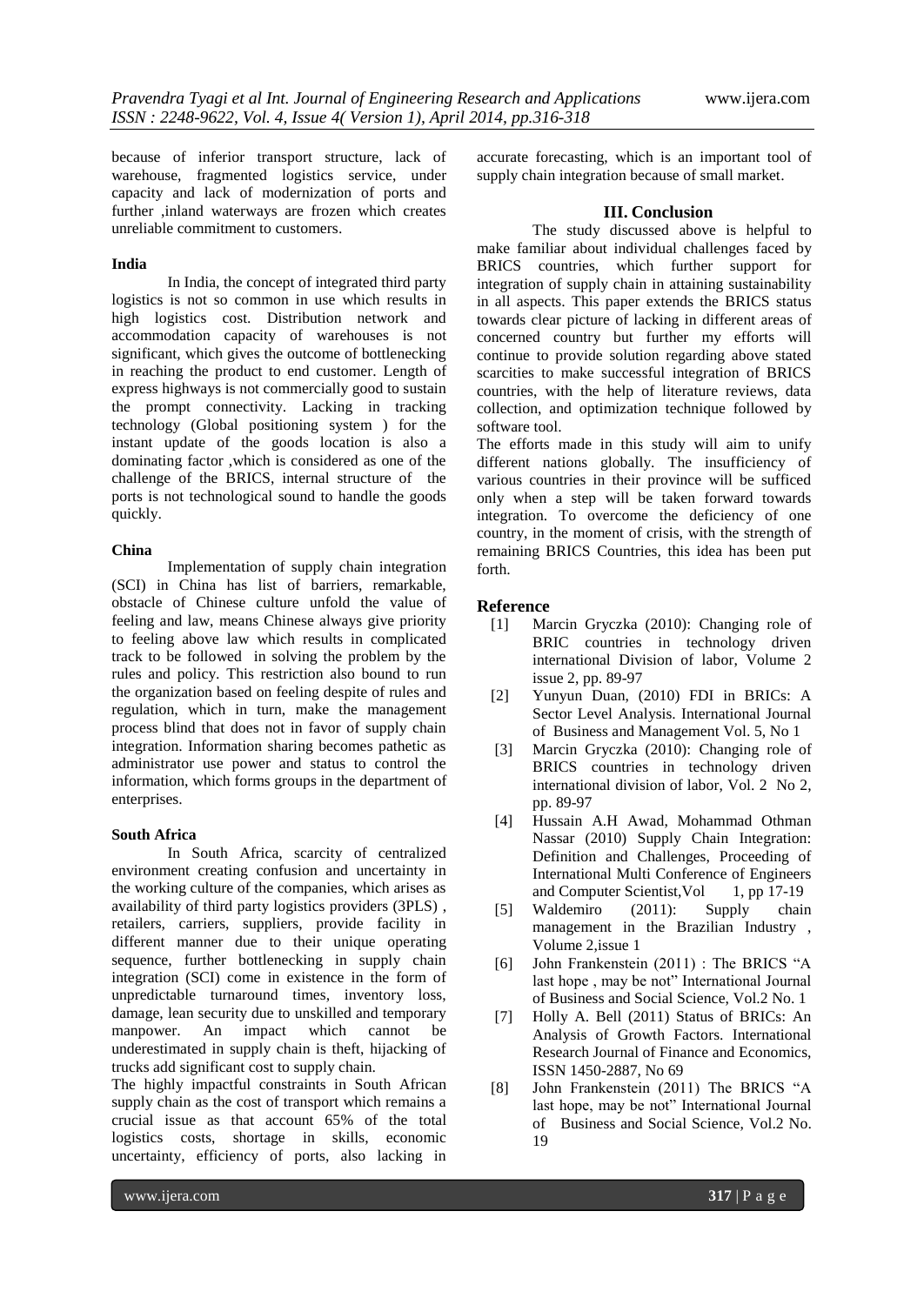because of inferior transport structure, lack of warehouse, fragmented logistics service, under capacity and lack of modernization of ports and further ,inland waterways are frozen which creates unreliable commitment to customers.

#### **India**

In India, the concept of integrated third party logistics is not so common in use which results in high logistics cost. Distribution network and accommodation capacity of warehouses is not significant, which gives the outcome of bottlenecking in reaching the product to end customer. Length of express highways is not commercially good to sustain the prompt connectivity. Lacking in tracking technology (Global positioning system ) for the instant update of the goods location is also a dominating factor ,which is considered as one of the challenge of the BRICS, internal structure of the ports is not technological sound to handle the goods quickly.

#### **China**

Implementation of supply chain integration (SCI) in China has list of barriers, remarkable, obstacle of Chinese culture unfold the value of feeling and law, means Chinese always give priority to feeling above law which results in complicated track to be followed in solving the problem by the rules and policy. This restriction also bound to run the organization based on feeling despite of rules and regulation, which in turn, make the management process blind that does not in favor of supply chain integration. Information sharing becomes pathetic as administrator use power and status to control the information, which forms groups in the department of enterprises.

#### **South Africa**

In South Africa, scarcity of centralized environment creating confusion and uncertainty in the working culture of the companies, which arises as availability of third party logistics providers (3PLS) , retailers, carriers, suppliers, provide facility in different manner due to their unique operating sequence, further bottlenecking in supply chain integration (SCI) come in existence in the form of unpredictable turnaround times, inventory loss, damage, lean security due to unskilled and temporary manpower. An impact which cannot be underestimated in supply chain is theft, hijacking of trucks add significant cost to supply chain.

The highly impactful constraints in South African supply chain as the cost of transport which remains a crucial issue as that account 65% of the total logistics costs, shortage in skills, economic uncertainty, efficiency of ports, also lacking in

accurate forecasting, which is an important tool of supply chain integration because of small market.

### **III. Conclusion**

The study discussed above is helpful to make familiar about individual challenges faced by BRICS countries, which further support for integration of supply chain in attaining sustainability in all aspects. This paper extends the BRICS status towards clear picture of lacking in different areas of concerned country but further my efforts will continue to provide solution regarding above stated scarcities to make successful integration of BRICS countries, with the help of literature reviews, data collection, and optimization technique followed by software tool.

The efforts made in this study will aim to unify different nations globally. The insufficiency of various countries in their province will be sufficed only when a step will be taken forward towards integration. To overcome the deficiency of one country, in the moment of crisis, with the strength of remaining BRICS Countries, this idea has been put forth.

# **Reference**

- [1] Marcin Gryczka (2010): Changing role of BRIC countries in technology driven international Division of labor, Volume 2 issue 2, pp. 89-97
- [2] Yunyun Duan, (2010) FDI in BRICs: A Sector Level Analysis. International Journal of Business and Management Vol. 5, No 1
- [3] Marcin Gryczka (2010): Changing role of BRICS countries in technology driven international division of labor, Vol. 2 No 2, pp. 89-97
- [4] Hussain A.H Awad, Mohammad Othman Nassar (2010) Supply Chain Integration: Definition and Challenges, Proceeding of International Multi Conference of Engineers and Computer Scientist, Vol 1, pp 17-19
- [5] Waldemiro (2011): Supply chain management in the Brazilian Industry , Volume 2,issue 1
- [6] John Frankenstein (2011) : The BRICS "A last hope , may be not" International Journal of Business and Social Science, Vol.2 No. 1
- [7] Holly A. Bell (2011) Status of BRICs: An Analysis of Growth Factors. International Research Journal of Finance and Economics, ISSN 1450-2887, No 69
- [8] John Frankenstein (2011) The BRICS "A last hope, may be not" International Journal of Business and Social Science, Vol.2 No. 19